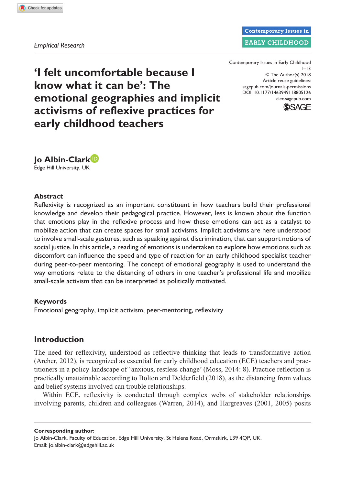

*Empirical Research*

**Contemporary Issues in EARLY CHILDHOOD** 

DOI: 10.1177/1463949118805126 Contemporary Issues in Early Childhood  $1 - 13$ © The Author(s) 2018 Article reuse guidelines: [sagepub.com/journals-permissions](https://uk.sagepub.com/en-gb/journals-permissions) [ciec.sagepub.com](https://ciec.sagepub.com)



**'I felt uncomfortable because I know what it can be': The emotional geographies and implicit activisms of reflexive practices for early childhood teachers**

**Jo Albin-Clark** Edge Hill University, UK

#### **Abstract**

Reflexivity is recognized as an important constituent in how teachers build their professional knowledge and develop their pedagogical practice. However, less is known about the function that emotions play in the reflexive process and how these emotions can act as a catalyst to mobilize action that can create spaces for small activisms. Implicit activisms are here understood to involve small-scale gestures, such as speaking against discrimination, that can support notions of social justice. In this article, a reading of emotions is undertaken to explore how emotions such as discomfort can influence the speed and type of reaction for an early childhood specialist teacher during peer-to-peer mentoring. The concept of emotional geography is used to understand the way emotions relate to the distancing of others in one teacher's professional life and mobilize small-scale activism that can be interpreted as politically motivated.

## **Keywords**

Emotional geography, implicit activism, peer-mentoring, reflexivity

# **Introduction**

The need for reflexivity, understood as reflective thinking that leads to transformative action (Archer, 2012), is recognized as essential for early childhood education (ECE) teachers and practitioners in a policy landscape of 'anxious, restless change' (Moss, 2014: 8). Practice reflection is practically unattainable according to Bolton and Delderfield (2018), as the distancing from values and belief systems involved can trouble relationships.

Within ECE, reflexivity is conducted through complex webs of stakeholder relationships involving parents, children and colleagues (Warren, 2014), and Hargreaves (2001, 2005) posits

**Corresponding author:**

Jo Albin-Clark, Faculty of Education, Edge Hill University, St Helens Road, Ormskirk, L39 4QP, UK. Email: [jo.albin-clark@edgehill.ac.uk](mailto:jo.albin-clark@edgehill.ac.uk)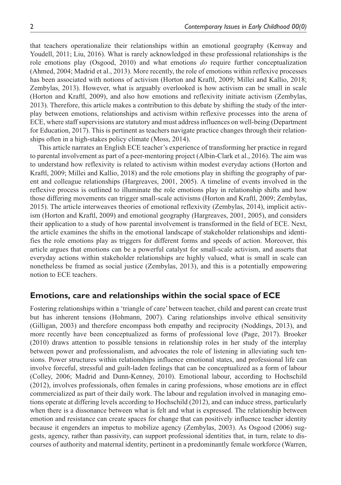that teachers operationalize their relationships within an emotional geography (Kenway and Youdell, 2011; Liu, 2016). What is rarely acknowledged in these professional relationships is the role emotions play (Osgood, 2010) and what emotions *do* require further conceptualization (Ahmed, 2004; Madrid et al., 2013). More recently, the role of emotions within reflexive processes has been associated with notions of activism (Horton and Kraftl, 2009; Millei and Kallio, 2018; Zembylas, 2013). However, what is arguably overlooked is how activism can be small in scale (Horton and Kraftl, 2009), and also how emotions and reflexivity initiate activism (Zembylas, 2013). Therefore, this article makes a contribution to this debate by shifting the study of the interplay between emotions, relationships and activism within reflexive processes into the arena of ECE, where staff supervisions are statutory and must address influences on well-being (Department for Education, 2017). This is pertinent as teachers navigate practice changes through their relationships often in a high-stakes policy climate (Moss, 2014).

This article narrates an English ECE teacher's experience of transforming her practice in regard to parental involvement as part of a peer-mentoring project (Albin-Clark et al., 2016). The aim was to understand how reflexivity is related to activism within modest everyday actions (Horton and Kraftl, 2009; Millei and Kallio, 2018) and the role emotions play in shifting the geography of parent and colleague relationships (Hargreaves, 2001, 2005). A timeline of events involved in the reflexive process is outlined to illuminate the role emotions play in relationship shifts and how those differing movements can trigger small-scale activisms (Horton and Kraftl, 2009; Zembylas, 2015). The article interweaves theories of emotional reflexivity (Zembylas, 2014), implicit activism (Horton and Kraftl, 2009) and emotional geography (Hargreaves, 2001, 2005), and considers their application to a study of how parental involvement is transformed in the field of ECE. Next, the article examines the shifts in the emotional landscape of stakeholder relationships and identifies the role emotions play as triggers for different forms and speeds of action. Moreover, this article argues that emotions can be a powerful catalyst for small-scale activism, and asserts that everyday actions within stakeholder relationships are highly valued, what is small in scale can nonetheless be framed as social justice (Zembylas, 2013), and this is a potentially empowering notion to ECE teachers.

# **Emotions, care and relationships within the social space of ECE**

Fostering relationships within a 'triangle of care' between teacher, child and parent can create trust but has inherent tensions (Hohmann, 2007). Caring relationships involve ethical sensitivity (Gilligan, 2003) and therefore encompass both empathy and reciprocity (Noddings, 2013), and more recently have been conceptualized as forms of professional love (Page, 2017). Brooker (2010) draws attention to possible tensions in relationship roles in her study of the interplay between power and professionalism, and advocates the role of listening in alleviating such tensions. Power structures within relationships influence emotional states, and professional life can involve forceful, stressful and guilt-laden feelings that can be conceptualized as a form of labour (Colley, 2006; Madrid and Dunn-Kenney, 2010). Emotional labour, according to Hochschild (2012), involves professionals, often females in caring professions, whose emotions are in effect commercialized as part of their daily work. The labour and regulation involved in managing emotions operate at differing levels according to Hochschild (2012), and can induce stress, particularly when there is a dissonance between what is felt and what is expressed. The relationship between emotion and resistance can create spaces for change that can positively influence teacher identity because it engenders an impetus to mobilize agency (Zembylas, 2003). As Osgood (2006) suggests, agency, rather than passivity, can support professional identities that, in turn, relate to discourses of authority and maternal identity, pertinent in a predominantly female workforce (Warren,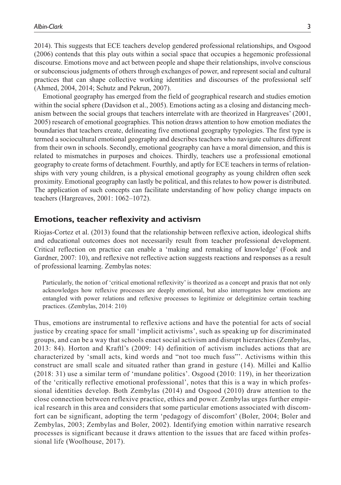2014). This suggests that ECE teachers develop gendered professional relationships, and Osgood (2006) contends that this play outs within a social space that occupies a hegemonic professional discourse. Emotions move and act between people and shape their relationships, involve conscious or subconscious judgments of others through exchanges of power, and represent social and cultural practices that can shape collective working identities and discourses of the professional self (Ahmed, 2004, 2014; Schutz and Pekrun, 2007).

Emotional geography has emerged from the field of geographical research and studies emotion within the social sphere (Davidson et al., 2005). Emotions acting as a closing and distancing mechanism between the social groups that teachers interrelate with are theorized in Hargreaves' (2001, 2005) research of emotional geographies. This notion draws attention to how emotion mediates the boundaries that teachers create, delineating five emotional geography typologies. The first type is termed a sociocultural emotional geography and describes teachers who navigate cultures different from their own in schools. Secondly, emotional geography can have a moral dimension, and this is related to mismatches in purposes and choices. Thirdly, teachers use a professional emotional geography to create forms of detachment. Fourthly, and aptly for ECE teachers in terms of relationships with very young children, is a physical emotional geography as young children often seek proximity. Emotional geography can lastly be political, and this relates to how power is distributed. The application of such concepts can facilitate understanding of how policy change impacts on teachers (Hargreaves, 2001: 1062–1072).

## **Emotions, teacher reflexivity and activism**

Riojas-Cortez et al. (2013) found that the relationship between reflexive action, ideological shifts and educational outcomes does not necessarily result from teacher professional development. Critical reflection on practice can enable a 'making and remaking of knowledge' (Fook and Gardner, 2007: 10), and reflexive not reflective action suggests reactions and responses as a result of professional learning. Zembylas notes:

Particularly, the notion of 'critical emotional reflexivity' is theorized as a concept and praxis that not only acknowledges how reflexive processes are deeply emotional, but also interrogates how emotions are entangled with power relations and reflexive processes to legitimize or delegitimize certain teaching practices. (Zembylas, 2014: 210)

Thus, emotions are instrumental to reflexive actions and have the potential for acts of social justice by creating space for small 'implicit activisms', such as speaking up for discriminated groups, and can be a way that schools enact social activism and disrupt hierarchies (Zembylas, 2013: 84). Horton and Kraftl's (2009: 14) definition of activism includes actions that are characterized by 'small acts, kind words and "not too much fuss"'. Activisms within this construct are small scale and situated rather than grand in gesture (14). Millei and Kallio (2018: 31) use a similar term of 'mundane politics'. Osgood (2010: 119), in her theorization of the 'critically reflective emotional professional', notes that this is a way in which professional identities develop. Both Zembylas (2014) and Osgood (2010) draw attention to the close connection between reflexive practice, ethics and power. Zembylas urges further empirical research in this area and considers that some particular emotions associated with discomfort can be significant, adopting the term 'pedagogy of discomfort' (Boler, 2004; Boler and Zembylas, 2003; Zembylas and Boler, 2002). Identifying emotion within narrative research processes is significant because it draws attention to the issues that are faced within professional life (Woolhouse, 2017).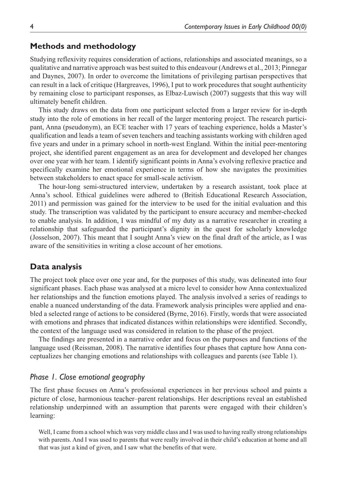# **Methods and methodology**

Studying reflexivity requires consideration of actions, relationships and associated meanings, so a qualitative and narrative approach was best suited to this endeavour (Andrews et al., 2013; Pinnegar and Daynes, 2007). In order to overcome the limitations of privileging partisan perspectives that can result in a lack of critique (Hargreaves, 1996), I put to work procedures that sought authenticity by remaining close to participant responses, as Elbaz-Luwisch (2007) suggests that this way will ultimately benefit children.

This study draws on the data from one participant selected from a larger review for in-depth study into the role of emotions in her recall of the larger mentoring project. The research participant, Anna (pseudonym), an ECE teacher with 17 years of teaching experience, holds a Master's qualification and leads a team of seven teachers and teaching assistants working with children aged five years and under in a primary school in north-west England. Within the initial peer-mentoring project, she identified parent engagement as an area for development and developed her changes over one year with her team. I identify significant points in Anna's evolving reflexive practice and specifically examine her emotional experience in terms of how she navigates the proximities between stakeholders to enact space for small-scale activism.

The hour-long semi-structured interview, undertaken by a research assistant, took place at Anna's school. Ethical guidelines were adhered to (British Educational Research Association, 2011) and permission was gained for the interview to be used for the initial evaluation and this study. The transcription was validated by the participant to ensure accuracy and member-checked to enable analysis. In addition, I was mindful of my duty as a narrative researcher in creating a relationship that safeguarded the participant's dignity in the quest for scholarly knowledge (Josselson, 2007). This meant that I sought Anna's view on the final draft of the article, as I was aware of the sensitivities in writing a close account of her emotions.

# **Data analysis**

The project took place over one year and, for the purposes of this study, was delineated into four significant phases. Each phase was analysed at a micro level to consider how Anna contextualized her relationships and the function emotions played. The analysis involved a series of readings to enable a nuanced understanding of the data. Framework analysis principles were applied and enabled a selected range of actions to be considered (Byrne, 2016). Firstly, words that were associated with emotions and phrases that indicated distances within relationships were identified. Secondly, the context of the language used was considered in relation to the phase of the project.

The findings are presented in a narrative order and focus on the purposes and functions of the language used (Reissman, 2008). The narrative identifies four phases that capture how Anna conceptualizes her changing emotions and relationships with colleagues and parents (see Table 1).

## *Phase 1. Close emotional geography*

The first phase focuses on Anna's professional experiences in her previous school and paints a picture of close, harmonious teacher–parent relationships. Her descriptions reveal an established relationship underpinned with an assumption that parents were engaged with their children's learning:

Well, I came from a school which was very middle class and I was used to having really strong relationships with parents. And I was used to parents that were really involved in their child's education at home and all that was just a kind of given, and I saw what the benefits of that were.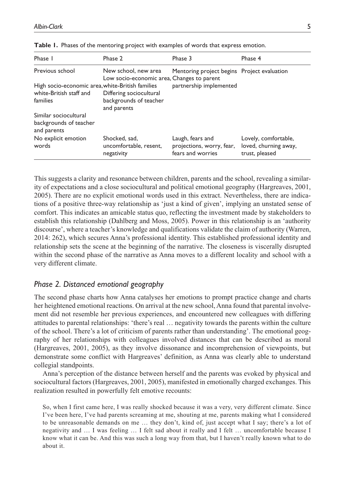| Phase I                                          | Phase 2                                                            | Phase 3                                                            | Phase 4                                                         |
|--------------------------------------------------|--------------------------------------------------------------------|--------------------------------------------------------------------|-----------------------------------------------------------------|
| Previous school                                  | New school, new area<br>Low socio-economic area, Changes to parent | Mentoring project begins Project evaluation                        |                                                                 |
| High socio-economic area, white-British families |                                                                    | partnership implemented                                            |                                                                 |
| white-British staff and                          | Differing sociocultural                                            |                                                                    |                                                                 |
| families                                         | backgrounds of teacher<br>and parents                              |                                                                    |                                                                 |
| Similar sociocultural                            |                                                                    |                                                                    |                                                                 |
| backgrounds of teacher<br>and parents            |                                                                    |                                                                    |                                                                 |
| No explicit emotion<br>words                     | Shocked, sad,<br>uncomfortable, resent,<br>negativity              | Laugh, fears and<br>projections, worry, fear,<br>fears and worries | Lovely, comfortable,<br>loved, churning away,<br>trust, pleased |

**Table 1.** Phases of the mentoring project with examples of words that express emotion.

This suggests a clarity and resonance between children, parents and the school, revealing a similarity of expectations and a close sociocultural and political emotional geography (Hargreaves, 2001, 2005). There are no explicit emotional words used in this extract. Nevertheless, there are indications of a positive three-way relationship as 'just a kind of given', implying an unstated sense of comfort. This indicates an amicable status quo, reflecting the investment made by stakeholders to establish this relationship (Dahlberg and Moss, 2005). Power in this relationship is an 'authority discourse', where a teacher's knowledge and qualifications validate the claim of authority (Warren, 2014: 262), which secures Anna's professional identity. This established professional identity and relationship sets the scene at the beginning of the narrative. The closeness is viscerally disrupted within the second phase of the narrative as Anna moves to a different locality and school with a very different climate.

# *Phase 2. Distanced emotional geography*

The second phase charts how Anna catalyses her emotions to prompt practice change and charts her heightened emotional reactions. On arrival at the new school, Anna found that parental involvement did not resemble her previous experiences, and encountered new colleagues with differing attitudes to parental relationships: 'there's real … negativity towards the parents within the culture of the school. There's a lot of criticism of parents rather than understanding'. The emotional geography of her relationships with colleagues involved distances that can be described as moral (Hargreaves, 2001, 2005), as they involve dissonance and incomprehension of viewpoints, but demonstrate some conflict with Hargreaves' definition, as Anna was clearly able to understand collegial standpoints.

Anna's perception of the distance between herself and the parents was evoked by physical and sociocultural factors (Hargreaves, 2001, 2005), manifested in emotionally charged exchanges. This realization resulted in powerfully felt emotive recounts:

So, when I first came here, I was really shocked because it was a very, very different climate. Since I've been here, I've had parents screaming at me, shouting at me, parents making what I considered to be unreasonable demands on me … they don't, kind of, just accept what I say; there's a lot of negativity and … I was feeling … I felt sad about it really and I felt … uncomfortable because I know what it can be. And this was such a long way from that, but I haven't really known what to do about it.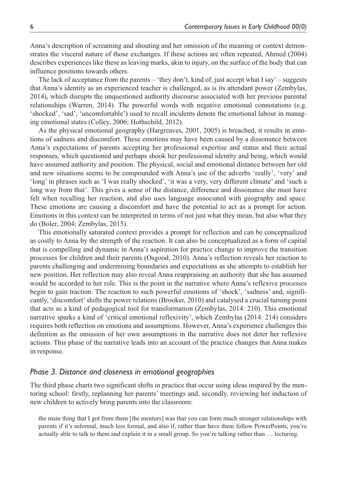Anna's description of screaming and shouting and her omission of the meaning or context demonstrates the visceral nature of those exchanges. If these actions are often repeated, Ahmed (2004) describes experiences like these as leaving marks, akin to injury, on the surface of the body that can influence positions towards others.

The lack of acceptance from the parents – 'they don't, kind of, just accept what I say' – suggests that Anna's identity as an experienced teacher is challenged, as is its attendant power (Zembylas, 2014), which disrupts the unquestioned authority discourse associated with her previous parental relationships (Warren, 2014). The powerful words with negative emotional connotations (e.g. 'shocked', 'sad', 'uncomfortable') used to recall incidents denote the emotional labour in managing emotional states (Colley, 2006; Hothschild, 2012).

As the physical emotional geography (Hargreaves, 2001, 2005) is breached, it results in emotions of sadness and discomfort. These emotions may have been caused by a dissonance between Anna's expectations of parents accepting her professional expertise and status and their actual responses, which questioned and perhaps shook her professional identity and being, which would have assumed authority and position. The physical, social and emotional distance between her old and new situations seems to be compounded with Anna's use of the adverbs 'really', 'very' and 'long' in phrases such as 'I was really shocked', 'it was a very, very different climate' and 'such a long way from that'. This gives a sense of the distance, difference and dissonance she must have felt when recalling her reaction, and also uses language associated with geography and space. These emotions are causing a discomfort and have the potential to act as a prompt for action. Emotions in this context can be interpreted in terms of not just what they mean, but also what they do (Boler, 2004; Zembylas, 2015).

This emotionally saturated context provides a prompt for reflection and can be conceptualized as costly to Anna by the strength of the reaction. It can also be conceptualized as a form of capital that is compelling and dynamic in Anna's aspiration for practice change to improve the transition processes for children and their parents (Osgood, 2010). Anna's reflection reveals her reaction to parents challenging and undermining boundaries and expectations as she attempts to establish her new position. Her reflection may also reveal Anna reappraising an authority that she has assumed would be accorded to her role. This is the point in the narrative where Anna's reflexive processes begin to gain traction. The reaction to such powerful emotions of 'shock', 'sadness' and, significantly, 'discomfort' shifts the power relations (Brooker, 2010) and catalysed a crucial turning point that acts as a kind of pedagogical tool for transformation (Zembylas, 2014: 210). This emotional narrative sparks a kind of 'critical emotional reflexivity', which Zembylas (2014: 214) considers requires both reflection on emotions and assumptions. However, Anna's experience challenges this definition as the omission of her own assumptions in the narrative does not deter her reflexive actions. This phase of the narrative leads into an account of the practice changes that Anna makes in response.

## *Phase 3. Distance and closeness in emotional geographies*

The third phase charts two significant shifts in practice that occur using ideas inspired by the mentoring school: firstly, replanning her parents' meetings and, secondly, reviewing her induction of new children to actively bring parents into the classroom:

the main thing that I got from them [the mentors] was that you can form much stronger relationships with parents if it's informal, much less formal, and also if, rather than have them follow PowerPoints, you're actually able to talk to them and explain it in a small group. So you're talking rather than … lecturing.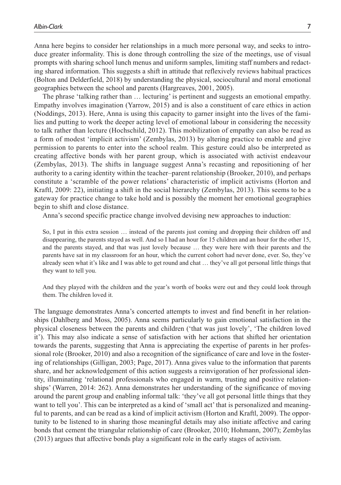Anna here begins to consider her relationships in a much more personal way, and seeks to introduce greater informality. This is done through controlling the size of the meetings, use of visual prompts with sharing school lunch menus and uniform samples, limiting staff numbers and redacting shared information. This suggests a shift in attitude that reflexively reviews habitual practices (Bolton and Delderfield, 2018) by understanding the physical, sociocultural and moral emotional geographies between the school and parents (Hargreaves, 2001, 2005).

The phrase 'talking rather than … lecturing' is pertinent and suggests an emotional empathy. Empathy involves imagination (Yarrow, 2015) and is also a constituent of care ethics in action (Noddings, 2013). Here, Anna is using this capacity to garner insight into the lives of the families and putting to work the deeper acting level of emotional labour in considering the necessity to talk rather than lecture (Hochschild, 2012). This mobilization of empathy can also be read as a form of modest 'implicit activism' (Zembylas, 2013) by altering practice to enable and give permission to parents to enter into the school realm. This gesture could also be interpreted as creating affective bonds with her parent group, which is associated with activist endeavour (Zembylas, 2013). The shifts in language suggest Anna's recasting and repositioning of her authority to a caring identity within the teacher–parent relationship (Brooker, 2010), and perhaps constitute a 'scramble of the power relations' characteristic of implicit activisms (Horton and Kraftl, 2009: 22), initiating a shift in the social hierarchy (Zembylas, 2013). This seems to be a gateway for practice change to take hold and is possibly the moment her emotional geographies begin to shift and close distance.

Anna's second specific practice change involved devising new approaches to induction:

So, I put in this extra session … instead of the parents just coming and dropping their children off and disappearing, the parents stayed as well. And so I had an hour for 15 children and an hour for the other 15, and the parents stayed, and that was just lovely because … they were here with their parents and the parents have sat in my classroom for an hour, which the current cohort had never done, ever. So, they've already seen what it's like and I was able to get round and chat … they've all got personal little things that they want to tell you.

And they played with the children and the year's worth of books were out and they could look through them. The children loved it.

The language demonstrates Anna's concerted attempts to invest and find benefit in her relationships (Dahlberg and Moss, 2005). Anna seems particularly to gain emotional satisfaction in the physical closeness between the parents and children ('that was just lovely', 'The children loved it'). This may also indicate a sense of satisfaction with her actions that shifted her orientation towards the parents, suggesting that Anna is appreciating the expertise of parents in her professional role (Brooker, 2010) and also a recognition of the significance of care and love in the fostering of relationships (Gilligan, 2003; Page, 2017). Anna gives value to the information that parents share, and her acknowledgement of this action suggests a reinvigoration of her professional identity, illuminating 'relational professionals who engaged in warm, trusting and positive relationships' (Warren, 2014: 262). Anna demonstrates her understanding of the significance of moving around the parent group and enabling informal talk: 'they've all got personal little things that they want to tell you'. This can be interpreted as a kind of 'small act' that is personalized and meaningful to parents, and can be read as a kind of implicit activism (Horton and Kraftl, 2009). The opportunity to be listened to in sharing those meaningful details may also initiate affective and caring bonds that cement the triangular relationship of care (Brooker, 2010; Hohmann, 2007); Zembylas (2013) argues that affective bonds play a significant role in the early stages of activism.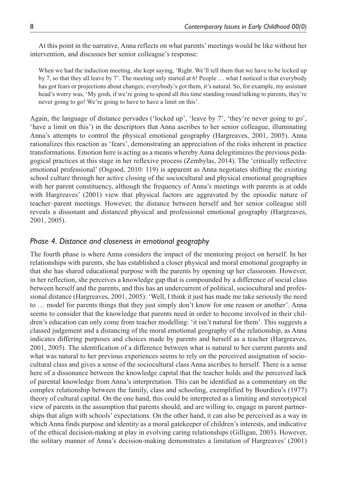At this point in the narrative, Anna reflects on what parents' meetings would be like without her intervention, and discusses her senior colleague's response:

When we had the induction meeting, she kept saying, 'Right. We'll tell them that we have to be locked up by 7, so that they all leave by 7'. The meeting only started at 6! People … what I noticed is that everybody has got fears or projections about changes; everybody's got them, it's natural. So, for example, my assistant head's worry was, 'My gosh, if we're going to spend all this time standing round talking to parents, they're never going to go! We're going to have to have a limit on this'.

Again, the language of distance pervades ('locked up', 'leave by 7', 'they're never going to go', 'have a limit on this') in the descriptors that Anna ascribes to her senior colleague, illuminating Anna's attempts to control the physical emotional geography (Hargreaves, 2001, 2005). Anna rationalizes this reaction as 'fears', demonstrating an appreciation of the risks inherent in practice transformations. Emotion here is acting as a means whereby Anna delegitimizes the previous pedagogical practices at this stage in her reflexive process (Zembylas, 2014). The 'critically reflective emotional professional' (Osgood, 2010: 119) is apparent as Anna negotiates shifting the existing school culture through her active closing of the sociocultural and physical emotional geographies with her parent constituency, although the frequency of Anna's meetings with parents is at odds with Hargreaves' (2001) view that physical factors are aggravated by the episodic nature of teacher–parent meetings. However, the distance between herself and her senior colleague still reveals a dissonant and distanced physical and professional emotional geography (Hargreaves, 2001, 2005).

# *Phase 4. Distance and closeness in emotional geography*

The fourth phase is where Anna considers the impact of the mentoring project on herself. In her relationships with parents, she has established a closer physical and moral emotional geography in that she has shared educational purpose with the parents by opening up her classroom. However, in her reflection, she perceives a knowledge gap that is compounded by a difference of social class between herself and the parents, and this has an undercurrent of political, sociocultural and professional distance (Hargreaves, 2001, 2005): 'Well, I think it just has made me take seriously the need to … model for parents things that they just simply don't know for one reason or another'. Anna seems to consider that the knowledge that parents need in order to become involved in their children's education can only come from teacher modelling: 'it isn't natural for them'. This suggests a classed judgement and a distancing of the moral emotional geography of the relationship, as Anna indicates differing purposes and choices made by parents and herself as a teacher (Hargreaves, 2001, 2005). The identification of a difference between what is natural to her current parents and what was natural to her previous experiences seems to rely on the perceived assignation of sociocultural class and gives a sense of the sociocultural class Anna ascribes to herself. There is a sense here of a dissonance between the knowledge capital that the teacher holds and the perceived lack of parental knowledge from Anna's interpretation. This can be identified as a commentary on the complex relationship between the family, class and schooling, exemplified by Bourdieu's (1977) theory of cultural capital. On the one hand, this could be interpreted as a limiting and stereotypical view of parents in the assumption that parents should, and are willing to, engage in parent partnerships that align with schools' expectations. On the other hand, it can also be perceived as a way in which Anna finds purpose and identity as a moral gatekeeper of children's interests, and indicative of the ethical decision-making at play in evolving caring relationships (Gilligan, 2003). However, the solitary manner of Anna's decision-making demonstrates a limitation of Hargreaves' (2001)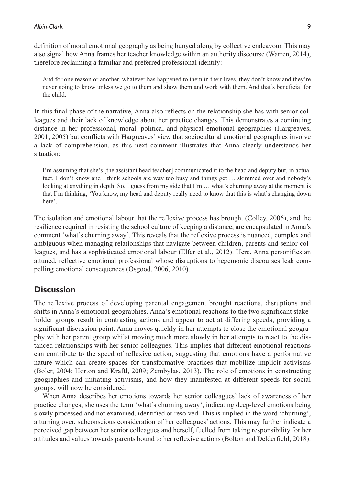definition of moral emotional geography as being buoyed along by collective endeavour. This may also signal how Anna frames her teacher knowledge within an authority discourse (Warren, 2014), therefore reclaiming a familiar and preferred professional identity:

And for one reason or another, whatever has happened to them in their lives, they don't know and they're never going to know unless we go to them and show them and work with them. And that's beneficial for the child.

In this final phase of the narrative, Anna also reflects on the relationship she has with senior colleagues and their lack of knowledge about her practice changes. This demonstrates a continuing distance in her professional, moral, political and physical emotional geographies (Hargreaves, 2001, 2005) but conflicts with Hargreaves' view that sociocultural emotional geographies involve a lack of comprehension, as this next comment illustrates that Anna clearly understands her situation:

I'm assuming that she's [the assistant head teacher] communicated it to the head and deputy but, in actual fact, I don't know and I think schools are way too busy and things get … skimmed over and nobody's looking at anything in depth. So, I guess from my side that I'm … what's churning away at the moment is that I'm thinking, 'You know, my head and deputy really need to know that this is what's changing down here'.

The isolation and emotional labour that the reflexive process has brought (Colley, 2006), and the resilience required in resisting the school culture of keeping a distance, are encapsulated in Anna's comment 'what's churning away'. This reveals that the reflexive process is nuanced, complex and ambiguous when managing relationships that navigate between children, parents and senior colleagues, and has a sophisticated emotional labour (Elfer et al., 2012). Here, Anna personifies an attuned, reflective emotional professional whose disruptions to hegemonic discourses leak compelling emotional consequences (Osgood, 2006, 2010).

# **Discussion**

The reflexive process of developing parental engagement brought reactions, disruptions and shifts in Anna's emotional geographies. Anna's emotional reactions to the two significant stakeholder groups result in contrasting actions and appear to act at differing speeds, providing a significant discussion point. Anna moves quickly in her attempts to close the emotional geography with her parent group whilst moving much more slowly in her attempts to react to the distanced relationships with her senior colleagues. This implies that different emotional reactions can contribute to the speed of reflexive action, suggesting that emotions have a performative nature which can create spaces for transformative practices that mobilize implicit activisms (Boler, 2004; Horton and Kraftl, 2009; Zembylas, 2013). The role of emotions in constructing geographies and initiating activisms, and how they manifested at different speeds for social groups, will now be considered.

When Anna describes her emotions towards her senior colleagues' lack of awareness of her practice changes, she uses the term 'what's churning away', indicating deep-level emotions being slowly processed and not examined, identified or resolved. This is implied in the word 'churning', a turning over, subconscious consideration of her colleagues' actions. This may further indicate a perceived gap between her senior colleagues and herself, fuelled from taking responsibility for her attitudes and values towards parents bound to her reflexive actions (Bolton and Delderfield, 2018).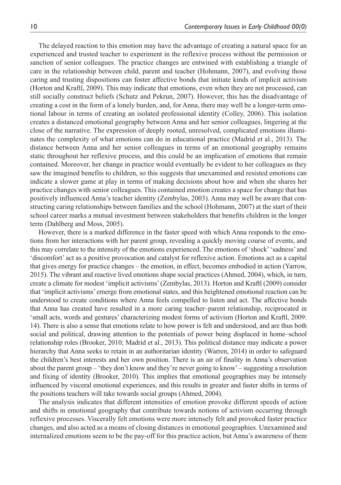The delayed reaction to this emotion may have the advantage of creating a natural space for an experienced and trusted teacher to experiment in the reflexive process without the permission or sanction of senior colleagues. The practice changes are entwined with establishing a triangle of care in the relationship between child, parent and teacher (Hohmann, 2007), and evolving those caring and trusting dispositions can foster affective bonds that initiate kinds of implicit activism (Horton and Kraftl, 2009). This may indicate that emotions, even when they are not processed, can still socially construct beliefs (Schutz and Pekrun, 2007). However, this has the disadvantage of creating a cost in the form of a lonely burden, and, for Anna, there may well be a longer-term emotional labour in terms of creating an isolated professional identity (Colley, 2006). This isolation creates a distanced emotional geography between Anna and her senior colleagues, lingering at the close of the narrative. The expression of deeply rooted, unresolved, complicated emotions illuminates the complexity of what emotions can do in educational practice (Madrid et al., 2013). The distance between Anna and her senior colleagues in terms of an emotional geography remains static throughout her reflexive process, and this could be an implication of emotions that remain contained. Moreover, her change in practice would eventually be evident to her colleagues as they saw the imagined benefits to children, so this suggests that unexamined and resisted emotions can indicate a slower game at play in terms of making decisions about how and when she shares her practice changes with senior colleagues. This contained emotion creates a space for change that has positively influenced Anna's teacher identity (Zembylas, 2003). Anna may well be aware that constructing caring relationships between families and the school (Hohmann, 2007) at the start of their school career marks a mutual investment between stakeholders that benefits children in the longer term (Dahlberg and Moss, 2005).

However, there is a marked difference in the faster speed with which Anna responds to the emotions from her interactions with her parent group, revealing a quickly moving course of events, and this may correlate to the intensity of the emotions experienced. The emotions of 'shock' 'sadness' and 'discomfort' act as a positive provocation and catalyst for reflexive action. Emotions act as a capital that gives energy for practice changes – the emotion, in effect, becomes embodied in action (Yarrow, 2015). The vibrant and reactive lived emotions shape social practices (Ahmed, 2004), which, in turn, create a climate for modest 'implicit activisms' (Zembylas, 2013). Horton and Kraftl (2009) consider that 'implicit activisms' emerge from emotional states, and this heightened emotional reaction can be understood to create conditions where Anna feels compelled to listen and act. The affective bonds that Anna has created have resulted in a more caring teacher–parent relationship, reciprocated in 'small acts, words and gestures' characterizing modest forms of activism (Horton and Kraftl, 2009: 14). There is also a sense that emotions relate to how power is felt and understood, and are thus both social and political, drawing attention to the potentials of power being displaced in home–school relationship roles (Brooker, 2010; Madrid et al., 2013). This political distance may indicate a power hierarchy that Anna seeks to retain in an authoritarian identity (Warren, 2014) in order to safeguard the children's best interests and her own position. There is an air of finality in Anna's observation about the parent group – 'they don't know and they're never going to know' – suggesting a resolution and fixing of identity (Brooker, 2010). This implies that emotional geographies may be intensely influenced by visceral emotional experiences, and this results in greater and faster shifts in terms of the positions teachers will take towards social groups (Ahmed, 2004).

The analysis indicates that different intensities of emotion provoke different speeds of action and shifts in emotional geography that contribute towards notions of activism occurring through reflexive processes. Viscerally felt emotions were more intensely felt and provoked faster practice changes, and also acted as a means of closing distances in emotional geographies. Unexamined and internalized emotions seem to be the pay-off for this practice action, but Anna's awareness of them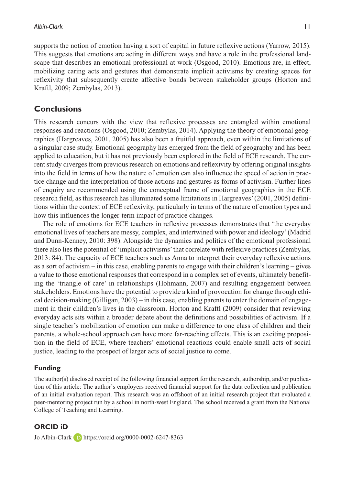supports the notion of emotion having a sort of capital in future reflexive actions (Yarrow, 2015). This suggests that emotions are acting in different ways and have a role in the professional landscape that describes an emotional professional at work (Osgood, 2010). Emotions are, in effect, mobilizing caring acts and gestures that demonstrate implicit activisms by creating spaces for reflexivity that subsequently create affective bonds between stakeholder groups (Horton and Kraftl, 2009; Zembylas, 2013).

## **Conclusions**

This research concurs with the view that reflexive processes are entangled within emotional responses and reactions (Osgood, 2010; Zembylas, 2014). Applying the theory of emotional geographies (Hargreaves, 2001, 2005) has also been a fruitful approach, even within the limitations of a singular case study. Emotional geography has emerged from the field of geography and has been applied to education, but it has not previously been explored in the field of ECE research. The current study diverges from previous research on emotions and reflexivity by offering original insights into the field in terms of how the nature of emotion can also influence the speed of action in practice change and the interpretation of those actions and gestures as forms of activism. Further lines of enquiry are recommended using the conceptual frame of emotional geographies in the ECE research field, as this research has illuminated some limitations in Hargreaves' (2001, 2005) definitions within the context of ECE reflexivity, particularly in terms of the nature of emotion types and how this influences the longer-term impact of practice changes.

The role of emotions for ECE teachers in reflexive processes demonstrates that 'the everyday emotional lives of teachers are messy, complex, and intertwined with power and ideology' (Madrid and Dunn-Kenney, 2010: 398). Alongside the dynamics and politics of the emotional professional there also lies the potential of 'implicit activisms' that correlate with reflexive practices (Zembylas, 2013: 84). The capacity of ECE teachers such as Anna to interpret their everyday reflexive actions as a sort of activism – in this case, enabling parents to engage with their children's learning – gives a value to those emotional responses that correspond in a complex set of events, ultimately benefiting the 'triangle of care' in relationships (Hohmann, 2007) and resulting engagement between stakeholders. Emotions have the potential to provide a kind of provocation for change through ethical decision-making (Gilligan, 2003) – in this case, enabling parents to enter the domain of engagement in their children's lives in the classroom. Horton and Kraftl (2009) consider that reviewing everyday acts sits within a broader debate about the definitions and possibilities of activism. If a single teacher's mobilization of emotion can make a difference to one class of children and their parents, a whole-school approach can have more far-reaching effects. This is an exciting proposition in the field of ECE, where teachers' emotional reactions could enable small acts of social justice, leading to the prospect of larger acts of social justice to come.

#### **Funding**

The author(s) disclosed receipt of the following financial support for the research, authorship, and/or publication of this article: The author's employers received financial support for the data collection and publication of an initial evaluation report. This research was an offshoot of an initial research project that evaluated a peer-mentoring project run by a school in north-west England. The school received a grant from the National College of Teaching and Learning.

## **ORCID iD**

Jo Albin-Clark **D** <https://orcid.org/0000-0002-6247-8363>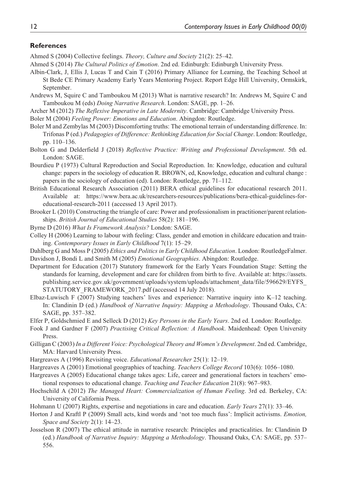#### **References**

- Ahmed S (2004) Collective feelings. *Theory, Culture and Society* 21(2): 25–42.
- Ahmed S (2014) *The Cultural Politics of Emotion*. 2nd ed. Edinburgh: Edinburgh University Press.
- Albin-Clark, J, Ellis J, Lucas T and Cain T (2016) Primary Alliance for Learning, the Teaching School at St Bede CE Primary Academy Early Years Mentoring Project. Report Edge Hill University, Ormskirk, September.
- Andrews M, Squire C and Tamboukou M (2013) What is narrative research? In: Andrews M, Squire C and Tamboukou M (eds) *Doing Narrative Research*. London: SAGE, pp. 1–26.
- Archer M (2012) *The Reflexive Imperative in Late Modernity*. Cambridge: Cambridge University Press.
- Boler M (2004) *Feeling Power: Emotions and Education*. Abingdon: Routledge.
- Boler M and Zembylas M (2003) Discomforting truths: The emotional terrain of understanding difference. In: Trifonas P (ed.) *Pedagogies of Difference: Rethinking Education for Social Change*. London: Routledge, pp. 110–136.
- Bolton G and Delderfield J (2018) *Reflective Practice: Writing and Professional Development*. 5th ed. London: SAGE.
- Bourdieu P (1973) Cultural Reproduction and Social Reproduction. In: Knowledge, education and cultural change: papers in the sociology of education R. BROWN, ed, Knowledge, education and cultural change : papers in the sociology of education (ed). London: Routledge, pp. 71–112.
- British Educational Research Association (2011) BERA ethical guidelines for educational research 2011. Available at: [https://www.bera.ac.uk/researchers-resources/publications/bera-ethical-guidelines-for](https://www.bera.ac.uk/researchers-resources/publications/bera-ethical-guidelines-for-educational-research-2011)[educational-research-2011](https://www.bera.ac.uk/researchers-resources/publications/bera-ethical-guidelines-for-educational-research-2011) (accessed 13 April 2017).
- Brooker L (2010) Constructing the triangle of care: Power and professionalism in practitioner/parent relationships. *British Journal of Educational Studies* 58(2): 181–196.
- Byrne D (2016) *What Is Framework Analysis?* London: SAGE.
- Colley H (2006) Learning to labour with feeling: Class, gender and emotion in childcare education and training. *Contemporary Issues in Early Childhood* 7(1): 15–29.
- Dahlberg G and Moss P (2005) *Ethics and Politics in Early Childhood Education*. London: RoutledgeFalmer.
- Davidson J, Bondi L and Smith M (2005) *Emotional Geographies*. Abingdon: Routledge.
- Department for Education (2017) Statutory framework for the Early Years Foundation Stage: Setting the standards for learning, development and care for children from birth to five. Available at: [https://assets.](https://assets.publishing.service.gov.uk/government/uploads/system/uploads/attachment_data/file/596629/EYFS_STATUTORY_FRAMEWORK_2017.pdf) [publishing.service.gov.uk/government/uploads/system/uploads/attachment\\_data/file/596629/EYFS\\_](https://assets.publishing.service.gov.uk/government/uploads/system/uploads/attachment_data/file/596629/EYFS_STATUTORY_FRAMEWORK_2017.pdf) [STATUTORY\\_FRAMEWORK\\_2017.pdf](https://assets.publishing.service.gov.uk/government/uploads/system/uploads/attachment_data/file/596629/EYFS_STATUTORY_FRAMEWORK_2017.pdf) (accessed 14 July 2018).
- Elbaz-Luwisch F (2007) Studying teachers' lives and experience: Narrative inquiry into K–12 teaching. In: Clandinin D (ed.) *Handbook of Narrative Inquiry: Mapping a Methodology*. Thousand Oaks, CA: SAGE, pp. 357–382.
- Elfer P, Goldschmied E and Selleck D (2012) *Key Persons in the Early Years*. 2nd ed. London: Routledge.
- Fook J and Gardner F (2007) *Practising Critical Reflection: A Handbook*. Maidenhead: Open University Press.
- Gilligan C (2003) *In a Different Voice: Psychological Theory and Women's Development*. 2nd ed. Cambridge, MA: Harvard University Press.
- Hargreaves A (1996) Revisiting voice. *Educational Researcher* 25(1): 12–19.
- Hargreaves A (2001) Emotional geographies of teaching. *Teachers College Record* 103(6): 1056–1080.
- Hargreaves A (2005) Educational change takes ages: Life, career and generational factors in teachers' emotional responses to educational change. *Teaching and Teacher Education* 21(8): 967–983.
- Hochschild A (2012) *The Managed Heart: Commercialization of Human Feeling*. 3rd ed. Berkeley, CA: University of California Press.
- Hohmann U (2007) Rights, expertise and negotiations in care and education. *Early Years* 27(1): 33–46.
- Horton J and Kraftl P (2009) Small acts, kind words and 'not too much fuss': Implicit activisms. *Emotion, Space and Society* 2(1): 14–23.
- Josselson R (2007) The ethical attitude in narrative research: Principles and practicalities. In: Clandinin D (ed.) *Handbook of Narrative Inquiry: Mapping a Methodology*. Thousand Oaks, CA: SAGE, pp. 537– 556.